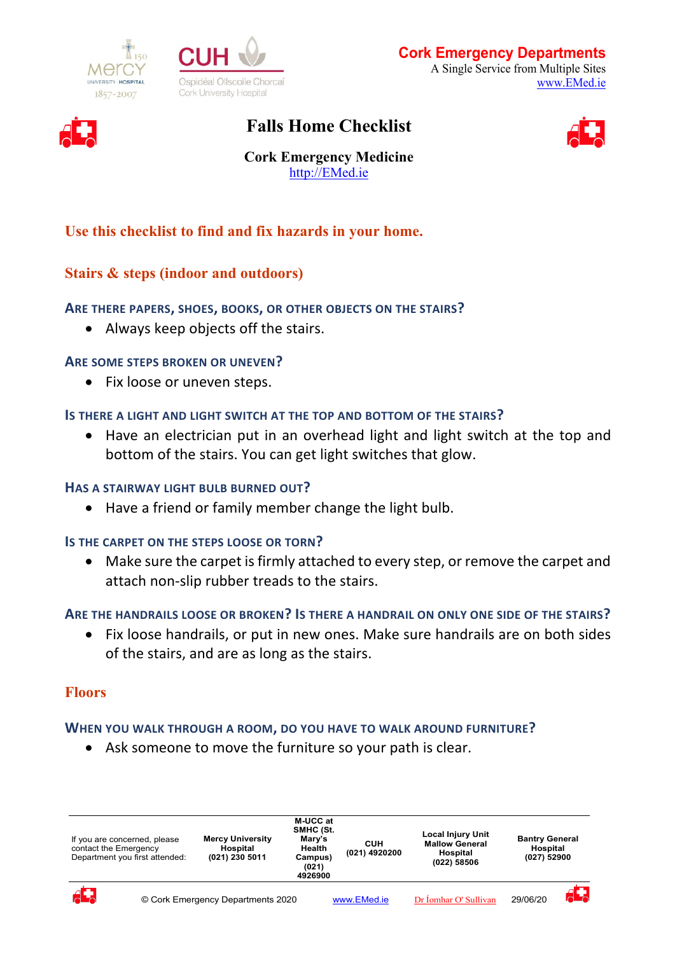





# **Falls Home Checklist**



**Cork Emergency Medicine** http://EMed.ie

# **Use this checklist to find and fix hazards in your home.**

# **Stairs & steps (indoor and outdoors)**

# **ARE THERE PAPERS, SHOES, BOOKS, OR OTHER OBJECTS ON THE STAIRS?**

• Always keep objects off the stairs.

# **ARE SOME STEPS BROKEN OR UNEVEN?**

• Fix loose or uneven steps.

# **IS THERE A LIGHT AND LIGHT SWITCH AT THE TOP AND BOTTOM OF THE STAIRS?**

• Have an electrician put in an overhead light and light switch at the top and bottom of the stairs. You can get light switches that glow.

# **HAS A STAIRWAY LIGHT BULB BURNED OUT?**

• Have a friend or family member change the light bulb.

# **IS THE CARPET ON THE STEPS LOOSE OR TORN?**

• Make sure the carpet is firmly attached to every step, or remove the carpet and attach non-slip rubber treads to the stairs.

# **ARE THE HANDRAILS LOOSE OR BROKEN? IS THERE A HANDRAIL ON ONLY ONE SIDE OF THE STAIRS?**

• Fix loose handrails, or put in new ones. Make sure handrails are on both sides of the stairs, and are as long as the stairs.

# **Floors**

# **WHEN YOU WALK THROUGH A ROOM, DO YOU HAVE TO WALK AROUND FURNITURE?**

• Ask someone to move the furniture so your path is clear.

| If you are concerned, please<br>contact the Emergency<br>Department you first attended: |  | <b>Mercy University</b><br>Hospital<br>(021) 230 5011 | M-UCC at<br>SMHC (St.<br>Mary's<br><b>Health</b><br>Campus)<br>(021)<br>4926900 | CUH<br>(021) 4920200 | <b>Local Injury Unit</b><br><b>Mallow General</b><br>Hospital<br>(022) 58506 | <b>Bantry General</b><br>Hospital<br>(027) 52900 |    |
|-----------------------------------------------------------------------------------------|--|-------------------------------------------------------|---------------------------------------------------------------------------------|----------------------|------------------------------------------------------------------------------|--------------------------------------------------|----|
| $\overline{A}$                                                                          |  | © Cork Emergency Departments 2020                     |                                                                                 | www.EMed.ie          | Dr Íomhar O' Sullivan                                                        | 29/06/20                                         | ЯŦ |